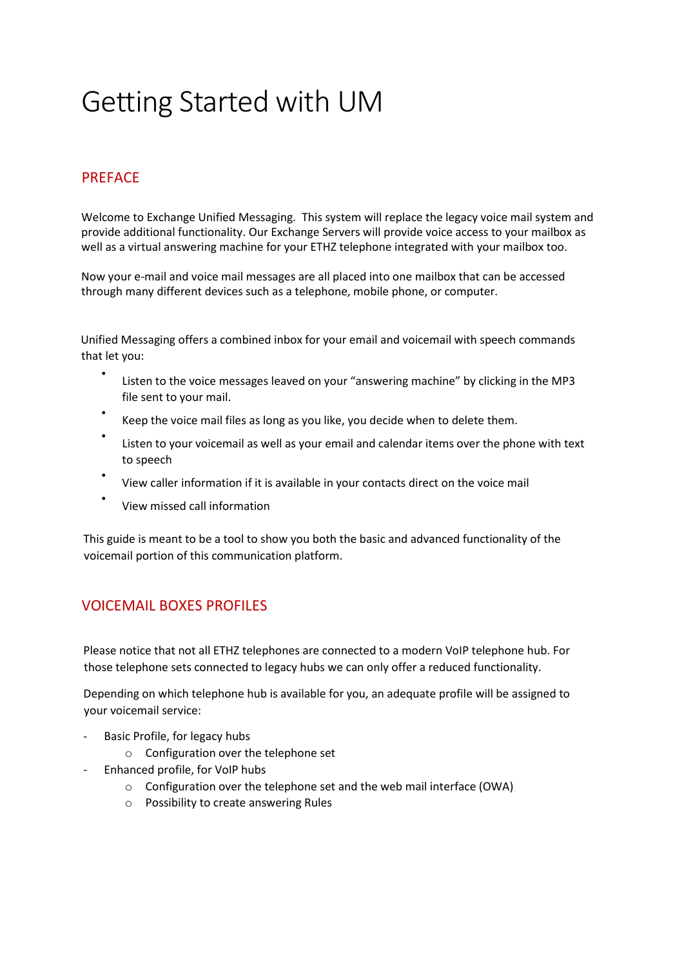# Getting Started with UM

## PREFACE

Welcome to Exchange Unified Messaging. This system will replace the legacy voice mail system and provide additional functionality. Our Exchange Servers will provide voice access to your mailbox as well as a virtual answering machine for your ETHZ telephone integrated with your mailbox too.

Now your e-mail and voice mail messages are all placed into one mailbox that can be accessed through many different devices such as a telephone, mobile phone, or computer.

Unified Messaging offers a combined inbox for your email and voicemail with speech commands that let you:

- Listen to the voice messages leaved on your "answering machine" by clicking in the MP3 file sent to your mail.
- Keep the voice mail files as long as you like, you decide when to delete them.
- Listen to your voicemail as well as your email and calendar items over the phone with text to speech
- View caller information if it is available in your contacts direct on the voice mail
- View missed call information

This guide is meant to be a tool to show you both the basic and advanced functionality of the voicemail portion of this communication platform.

# VOICEMAIL BOXES PROFILES

Please notice that not all ETHZ telephones are connected to a modern VoIP telephone hub. For those telephone sets connected to legacy hubs we can only offer a reduced functionality.

Depending on which telephone hub is available for you, an adequate profile will be assigned to your voicemail service:

- Basic Profile, for legacy hubs
	- o Configuration over the telephone set
- Enhanced profile, for VoIP hubs
	- o Configuration over the telephone set and the web mail interface (OWA)
	- o Possibility to create answering Rules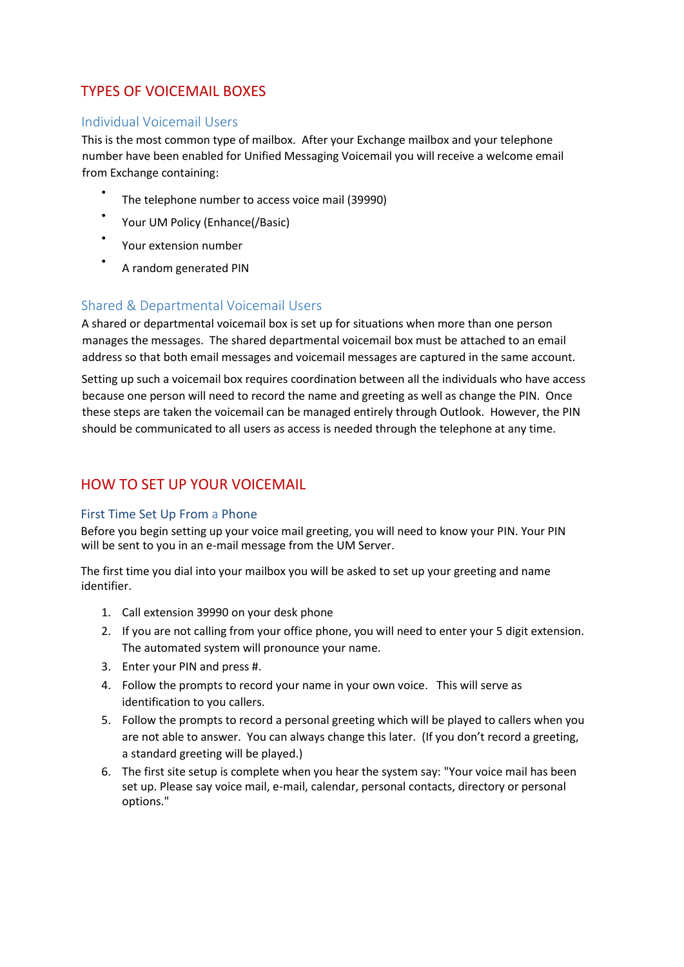# TYPES OF VOICEMAIL BOXES

#### Individual Voicemail Users

This is the most common type of mailbox. After your Exchange mailbox and your telephone number have been enabled for Unified Messaging Voicemail you will receive a welcome email from Exchange containing:

- The telephone number to access voice mail (39990)
- Your UM Policy (Enhance(/Basic)
- Your extension number
- A random generated PIN

## Shared & Departmental Voicemail Users

A shared or departmental voicemail box is set up for situations when more than one person manages the messages. The shared departmental voicemail box must be attached to an email address so that both email messages and voicemail messages are captured in the same account.

Setting up such a voicemail box requires coordination between all the individuals who have access because one person will need to record the name and greeting as well as change the PIN. Once these steps are taken the voicemail can be managed entirely through Outlook. However, the PIN should be communicated to all users as access is needed through the telephone at any time.

# HOW TO SET UP YOUR VOICEMAIL

#### First Time Set Up From a Phone

Before you begin setting up your voice mail greeting, you will need to know your PIN. Your PIN will be sent to you in an e-mail message from the UM Server.

The first time you dial into your mailbox you will be asked to set up your greeting and name identifier.

- 1. Call extension 39990 on your desk phone
- 2. If you are not calling from your office phone, you will need to enter your 5 digit extension. The automated system will pronounce your name.
- 3. Enter your PIN and press #.
- 4. Follow the prompts to record your name in your own voice. This will serve as identification to you callers.
- 5. Follow the prompts to record a personal greeting which will be played to callers when you are not able to answer. You can always change this later. (If you don't record a greeting, a standard greeting will be played.)
- 6. The first site setup is complete when you hear the system say: "Your voice mail has been set up. Please say voice mail, e-mail, calendar, personal contacts, directory or personal options."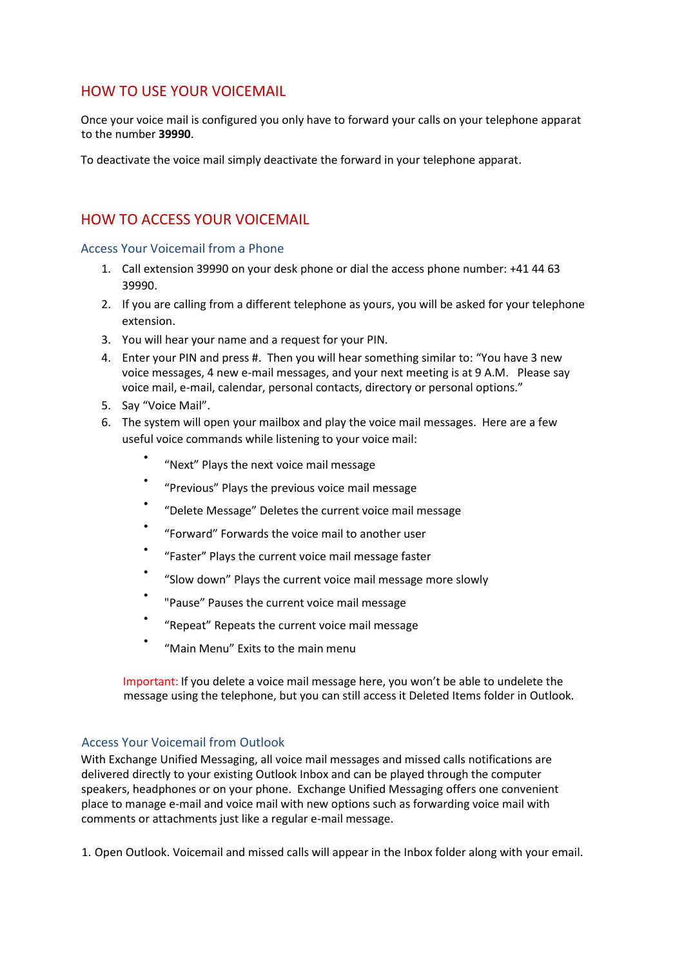## HOW TO USE YOUR VOICEMAIL

Once your voice mail is configured you only have to forward your calls on your telephone apparat to the number **39990**.

To deactivate the voice mail simply deactivate the forward in your telephone apparat.

# HOW TO ACCESS YOUR VOICEMAIL

Access Your Voicemail from a Phone

- 1. Call extension 39990 on your desk phone or dial the access phone number: +41 44 63 39990.
- 2. If you are calling from a different telephone as yours, you will be asked for your telephone extension.
- 3. You will hear your name and a request for your PIN.
- 4. Enter your PIN and press #. Then you will hear something similar to: "You have 3 new voice messages, 4 new e-mail messages, and your next meeting is at 9 A.M. Please say voice mail, e-mail, calendar, personal contacts, directory or personal options."
- 5. Say "Voice Mail".
- 6. The system will open your mailbox and play the voice mail messages. Here are a few useful voice commands while listening to your voice mail:
	- "Next" Plays the next voice mail message
	- "Previous" Plays the previous voice mail message
	- "Delete Message" Deletes the current voice mail message
	- "Forward" Forwards the voice mail to another user
	- "Faster" Plays the current voice mail message faster
	- "Slow down" Plays the current voice mail message more slowly
	- "Pause" Pauses the current voice mail message
	- "Repeat" Repeats the current voice mail message
	- "Main Menu" Exits to the main menu

Important: If you delete a voice mail message here, you won't be able to undelete the message using the telephone, but you can still access it Deleted Items folder in Outlook.

#### Access Your Voicemail from Outlook

With Exchange Unified Messaging, all voice mail messages and missed calls notifications are delivered directly to your existing Outlook Inbox and can be played through the computer speakers, headphones or on your phone. Exchange Unified Messaging offers one convenient place to manage e-mail and voice mail with new options such as forwarding voice mail with comments or attachments just like a regular e-mail message.

1. Open Outlook. Voicemail and missed calls will appear in the Inbox folder along with your email.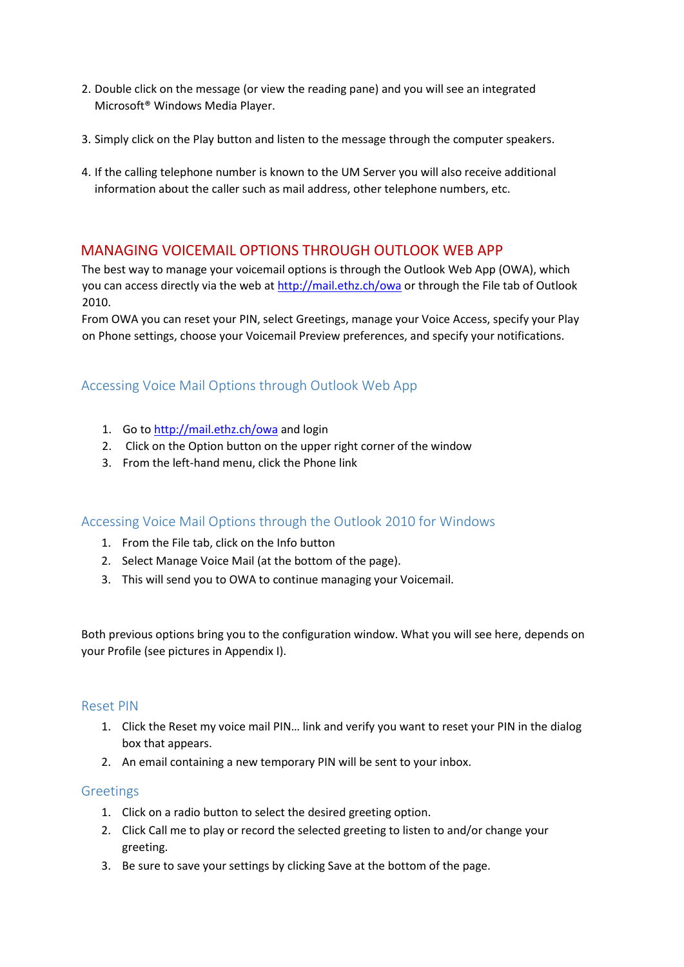- 2. Double click on the message (or view the reading pane) and you will see an integrated Microsoft® Windows Media Player.
- 3. Simply click on the Play button and listen to the message through the computer speakers.
- 4. If the calling telephone number is known to the UM Server you will also receive additional information about the caller such as mail address, other telephone numbers, etc.

#### MANAGING VOICEMAIL OPTIONS THROUGH OUTLOOK WEB APP

The best way to manage your voicemail options is through the Outlook Web App (OWA), which you can access directly via the web at http://mail.ethz.ch/owa or through the File tab of Outlook 2010.

From OWA you can reset your PIN, select Greetings, manage your Voice Access, specify your Play on Phone settings, choose your Voicemail Preview preferences, and specify your notifications.

## Accessing Voice Mail Options through Outlook Web App

- 1. Go to http://mail.ethz.ch/owa and login
- 2. Click on the Option button on the upper right corner of the window
- 3. From the left-hand menu, click the Phone link

#### Accessing Voice Mail Options through the Outlook 2010 for Windows

- 1. From the File tab, click on the Info button
- 2. Select Manage Voice Mail (at the bottom of the page).
- 3. This will send you to OWA to continue managing your Voicemail.

Both previous options bring you to the configuration window. What you will see here, depends on your Profile (see pictures in Appendix I).

#### Reset PIN

- 1. Click the Reset my voice mail PIN… link and verify you want to reset your PIN in the dialog box that appears.
- 2. An email containing a new temporary PIN will be sent to your inbox.

#### Greetings

- 1. Click on a radio button to select the desired greeting option.
- 2. Click Call me to play or record the selected greeting to listen to and/or change your greeting.
- 3. Be sure to save your settings by clicking Save at the bottom of the page.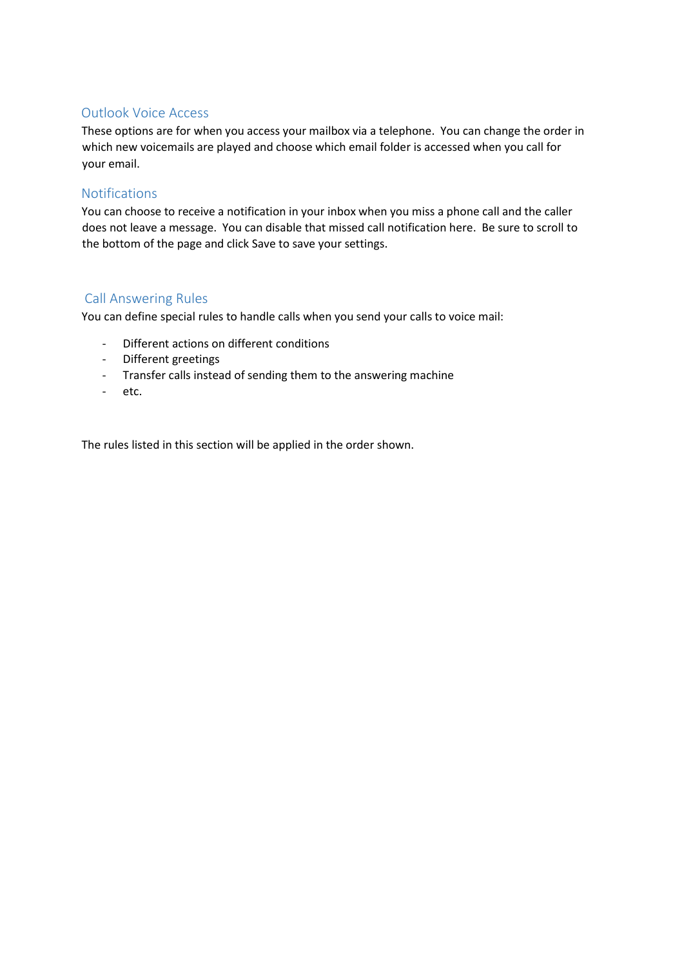## Outlook Voice Access

These options are for when you access your mailbox via a telephone. You can change the order in which new voicemails are played and choose which email folder is accessed when you call for your email.

#### Notifications

You can choose to receive a notification in your inbox when you miss a phone call and the caller does not leave a message. You can disable that missed call notification here. Be sure to scroll to the bottom of the page and click Save to save your settings.

## Call Answering Rules

You can define special rules to handle calls when you send your calls to voice mail:

- Different actions on different conditions
- Different greetings
- Transfer calls instead of sending them to the answering machine
- etc.

The rules listed in this section will be applied in the order shown.